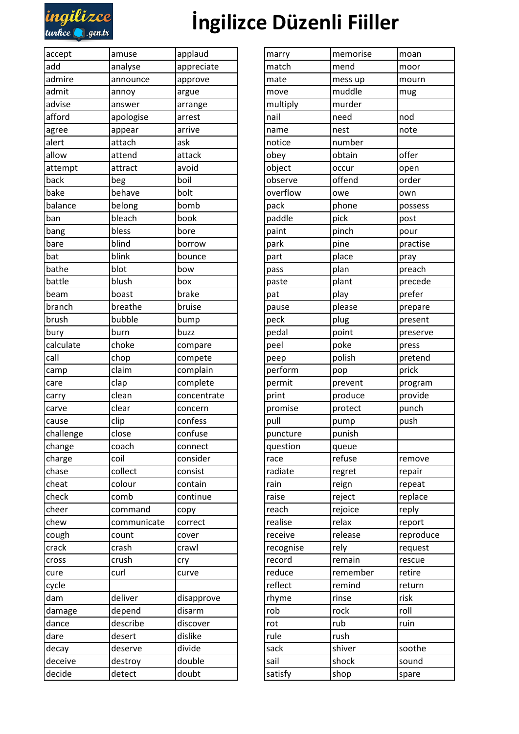

## **[İngilizce Düzenli Fiiller](https://ingilizcedersleri.ingilizceturkce.gen.tr/ingilizce-duzenli-fiiller-regular-verbs.html)**

| accept    | amuse       | applaud     | marry     | memorise | moan      |
|-----------|-------------|-------------|-----------|----------|-----------|
| add       | analyse     | appreciate  | match     | mend     | moor      |
| admire    | announce    | approve     | mate      | mess up  | mourn     |
| admit     | annoy       | argue       | move      | muddle   | mug       |
| advise    | answer      | arrange     | multiply  | murder   |           |
| afford    | apologise   | arrest      | nail      | need     | nod       |
| agree     | appear      | arrive      | name      | nest     | note      |
| alert     | attach      | ask         | notice    | number   |           |
| allow     | attend      | attack      | obey      | obtain   | offer     |
| attempt   | attract     | avoid       | object    | occur    | open      |
| back      | beg         | boil        | observe   | offend   | order     |
| bake      | behave      | bolt        | overflow  | owe      | own       |
| balance   | belong      | bomb        | pack      | phone    | possess   |
| ban       | bleach      | book        | paddle    | pick     | post      |
| bang      | bless       | bore        | paint     | pinch    | pour      |
| bare      | blind       | borrow      | park      | pine     | practise  |
| bat       | blink       | bounce      | part      | place    | pray      |
| bathe     | blot        | bow         | pass      | plan     | preach    |
| battle    | blush       | box         | paste     | plant    | precede   |
| beam      | boast       | brake       | pat       | play     | prefer    |
| branch    | breathe     | bruise      | pause     | please   | prepare   |
| brush     | bubble      | bump        | peck      | plug     | present   |
| bury      | burn        | buzz        | pedal     | point    | preserve  |
| calculate | choke       | compare     | peel      | poke     | press     |
| call      | chop        | compete     | peep      | polish   | pretend   |
| camp      | claim       | complain    | perform   | pop      | prick     |
| care      | clap        | complete    | permit    | prevent  | program   |
| carry     | clean       | concentrate | print     | produce  | provide   |
| carve     | clear       | concern     | promise   | protect  | punch     |
| cause     | clip        | confess     | pull      | pump     | push      |
| challenge | close       | confuse     | puncture  | punish   |           |
| change    | coach       | connect     | question  | queue    |           |
| charge    | coil        | consider    | race      | refuse   | remove    |
| chase     | collect     | consist     | radiate   | regret   | repair    |
| cheat     | colour      | contain     | rain      | reign    | repeat    |
| check     | comb        | continue    | raise     | reject   | replace   |
| cheer     | command     | copy        | reach     | rejoice  | reply     |
| chew      | communicate | correct     | realise   | relax    | report    |
| cough     | count       | cover       | receive   | release  | reproduce |
| crack     | crash       | crawl       | recognise | rely     | request   |
| cross     | crush       | cry         | record    | remain   | rescue    |
| cure      | curl        | curve       | reduce    | remember | retire    |
| cycle     |             |             | reflect   | remind   | return    |
| dam       | deliver     | disapprove  | rhyme     | rinse    | risk      |
| damage    | depend      | disarm      | rob       | rock     | roll      |
| dance     | describe    | discover    | rot       | rub      | ruin      |
| dare      | desert      | dislike     | rule      | rush     |           |
| decay     | deserve     | divide      | sack      | shiver   | soothe    |
| deceive   | destroy     | double      | sail      | shock    | sound     |
| decide    | detect      | doubt       | satisfy   | shop     | spare     |
|           |             |             |           |          |           |

| marry     | memorise | moan      |  |
|-----------|----------|-----------|--|
| match     | mend     | moor      |  |
| mate      | mess up  | mourn     |  |
| move      | muddle   | mug       |  |
| multiply  | murder   |           |  |
| nail      | need     | nod       |  |
| name      | nest     | note      |  |
| notice    | number   |           |  |
| obey      | obtain   | offer     |  |
| object    | occur    | open      |  |
| observe   | offend   | order     |  |
| overflow  | owe      | own       |  |
| pack      | phone    | possess   |  |
| paddle    | pick     | post      |  |
| paint     | pinch    | pour      |  |
| park      | pine     | practise  |  |
| part      | place    | pray      |  |
| pass      | plan     | preach    |  |
| paste     | plant    | precede   |  |
| pat       | play     | prefer    |  |
| pause     | please   | prepare   |  |
| peck      | plug     | present   |  |
| pedal     | point    | preserve  |  |
| peel      | poke     | press     |  |
| peep      | polish   | pretend   |  |
| perform   | pop      | prick     |  |
| permit    | prevent  | program   |  |
| print     | produce  | provide   |  |
| promise   | protect  | punch     |  |
| pull      | pump     | push      |  |
| puncture  | punish   |           |  |
| question  | queue    |           |  |
| race      | refuse   | remove    |  |
| radiate   | regret   | repair    |  |
| rain      | reign    | repeat    |  |
| raise     | reject   | replace   |  |
| reach     | rejoice  | reply     |  |
| realise   | relax    | report    |  |
| receive   | release  | reproduce |  |
| recognise | rely     | request   |  |
| record    | remain   | rescue    |  |
| reduce    | remember | retire    |  |
| reflect   | remind   | return    |  |
| rhyme     | rinse    | risk      |  |
| rob       | rock     | roll      |  |
| rot       | rub      | ruin      |  |
| rule      | rush     |           |  |
| sack      | shiver   | soothe    |  |
| sail      | shock    | sound     |  |
| satisfy   | shop     | spare     |  |
|           |          |           |  |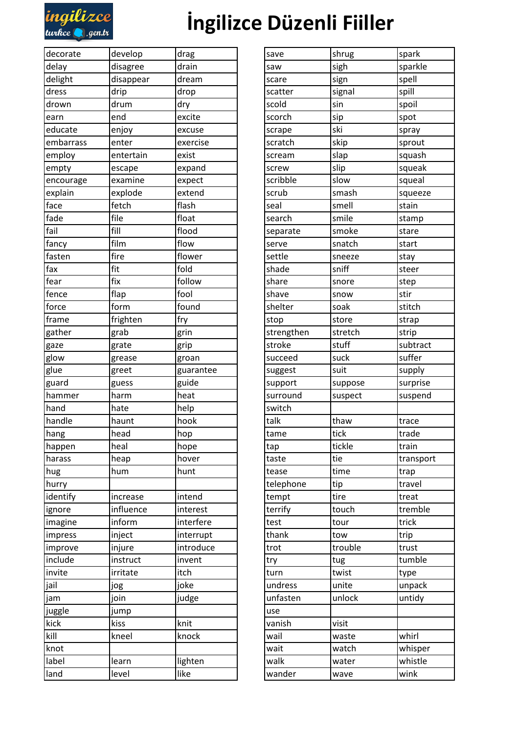

## **İngilizce Düzenli Fiiller**

| decorate  | develop   | drag      | save       | shrug   | spark     |
|-----------|-----------|-----------|------------|---------|-----------|
| delay     | disagree  | drain     | saw        | sigh    | sparkle   |
| delight   | disappear | dream     | scare      | sign    | spell     |
| dress     | drip      | drop      | scatter    | signal  | spill     |
| drown     | drum      | dry       | scold      | sin     | spoil     |
| earn      | end       | excite    | scorch     | sip     | spot      |
| educate   | enjoy     | excuse    | scrape     | ski     | spray     |
| embarrass | enter     | exercise  | scratch    | skip    | sprout    |
| employ    | entertain | exist     | scream     | slap    | squash    |
| empty     | escape    | expand    | screw      | slip    | squeak    |
| encourage | examine   | expect    | scribble   | slow    | squeal    |
| explain   | explode   | extend    | scrub      | smash   | squeeze   |
| face      | fetch     | flash     | seal       | smell   | stain     |
| fade      | file      | float     | search     | smile   | stamp     |
| fail      | fill      | flood     | separate   | smoke   | stare     |
| fancy     | film      | flow      | serve      | snatch  | start     |
| fasten    | fire      | flower    | settle     | sneeze  | stay      |
| fax       | fit       | fold      | shade      | sniff   | steer     |
| fear      | fix       | follow    | share      | snore   | step      |
| fence     | flap      | fool      | shave      | snow    | stir      |
| force     | form      | found     | shelter    | soak    | stitch    |
| frame     | frighten  | fry       | stop       | store   | strap     |
| gather    | grab      | grin      | strengthen | stretch | strip     |
| gaze      | grate     | grip      | stroke     | stuff   | subtract  |
| glow      | grease    | groan     | succeed    | suck    | suffer    |
| glue      | greet     | guarantee | suggest    | suit    | supply    |
| guard     | guess     | guide     | support    | suppose | surprise  |
| hammer    | harm      | heat      | surround   | suspect | suspend   |
| hand      | hate      | help      | switch     |         |           |
| handle    | haunt     | hook      | talk       | thaw    | trace     |
| hang      | head      | hop       | tame       | tick    | trade     |
| happen    | heal      | hope      | tap        | tickle  | train     |
| harass    | heap      | hover     | taste      | tie     | transport |
| hug       | hum       | hunt      | tease      | time    | trap      |
| hurry     |           |           | telephone  | tip     | travel    |
| identify  | increase  | intend    | tempt      | tire    | treat     |
| ignore    | influence | interest  | terrify    | touch   | tremble   |
| imagine   | inform    | interfere | test       | tour    | trick     |
| impress   | inject    | interrupt | thank      | tow     | trip      |
| improve   | injure    | introduce | trot       | trouble | trust     |
| include   | instruct  | invent    | try        | tug     | tumble    |
| invite    | irritate  | itch      | turn       | twist   | type      |
| jail      | jog       | joke      | undress    | unite   | unpack    |
| jam       | join      | judge     | unfasten   | unlock  | untidy    |
| juggle    | jump      |           | use        |         |           |
| kick      | kiss      | knit      | vanish     | visit   |           |
| kill      | kneel     | knock     | wail       | waste   | whirl     |
| knot      |           |           | wait       | watch   | whisper   |
| label     | learn     | lighten   | walk       | water   | whistle   |
| land      | level     | like      | wander     | wave    | wink      |
|           |           |           |            |         |           |

| save       | shrug   | spark     |  |
|------------|---------|-----------|--|
| saw        | sigh    | sparkle   |  |
| scare      | sign    | spell     |  |
| scatter    | signal  | spill     |  |
| scold      | sin     | spoil     |  |
| scorch     | sip     | spot      |  |
| scrape     | ski     | spray     |  |
| scratch    | skip    | sprout    |  |
| scream     | slap    | squash    |  |
| screw      | slip    | squeak    |  |
| scribble   | slow    | squeal    |  |
| scrub      | smash   | squeeze   |  |
| seal       | smell   | stain     |  |
| search     | smile   | stamp     |  |
| separate   | smoke   | stare     |  |
| serve      | snatch  | start     |  |
| settle     | sneeze  | stay      |  |
| shade      | sniff   | steer     |  |
| share      | snore   | step      |  |
| shave      | snow    | stir      |  |
| shelter    | soak    | stitch    |  |
| stop       | store   | strap     |  |
| strengthen | stretch | strip     |  |
| stroke     | stuff   | subtract  |  |
| succeed    | suck    | suffer    |  |
| suggest    | suit    | supply    |  |
| support    | suppose | surprise  |  |
| surround   | suspect | suspend   |  |
| switch     |         |           |  |
| talk       | thaw    | trace     |  |
| tame       | tick    | trade     |  |
| tap        | tickle  | train     |  |
| taste      | tie     | transport |  |
| tease      | time    | trap      |  |
| telephone  | tip     | travel    |  |
| tempt      | tire    | treat     |  |
| terrify    | touch   | tremble   |  |
| test       | tour    | trick     |  |
| thank      | tow     | trip      |  |
| trot       | trouble | trust     |  |
| try        | tug     | tumble    |  |
| turn       | twist   | type      |  |
| undress    | unite   | unpack    |  |
| unfasten   | unlock  | untidy    |  |
| use        |         |           |  |
| vanish     | visit   |           |  |
| wail       | waste   | whirl     |  |
| wait       | watch   | whisper   |  |
| walk       | water   | whistle   |  |
| wander     | wave    | wink      |  |
|            |         |           |  |